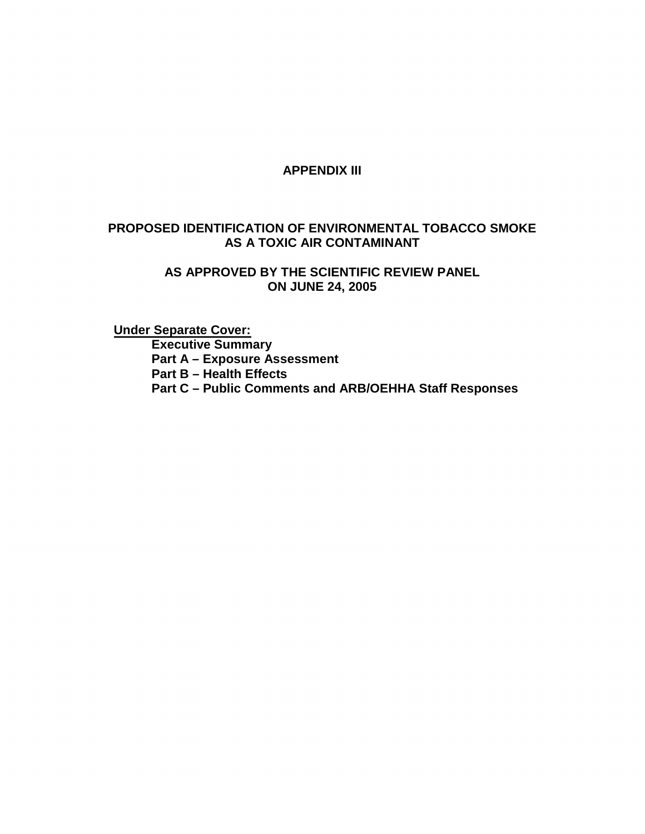#### **APPENDIX III**

#### **PROPOSED IDENTIFICATION OF ENVIRONMENTAL TOBACCO SMOKE AS A TOXIC AIR CONTAMINANT**

#### **AS APPROVED BY THE SCIENTIFIC REVIEW PANEL ON JUNE 24, 2005**

**Under Separate Cover: Executive Summary Part A – Exposure Assessment Part B – Health Effects Part C – Public Comments and ARB/OEHHA Staff Responses**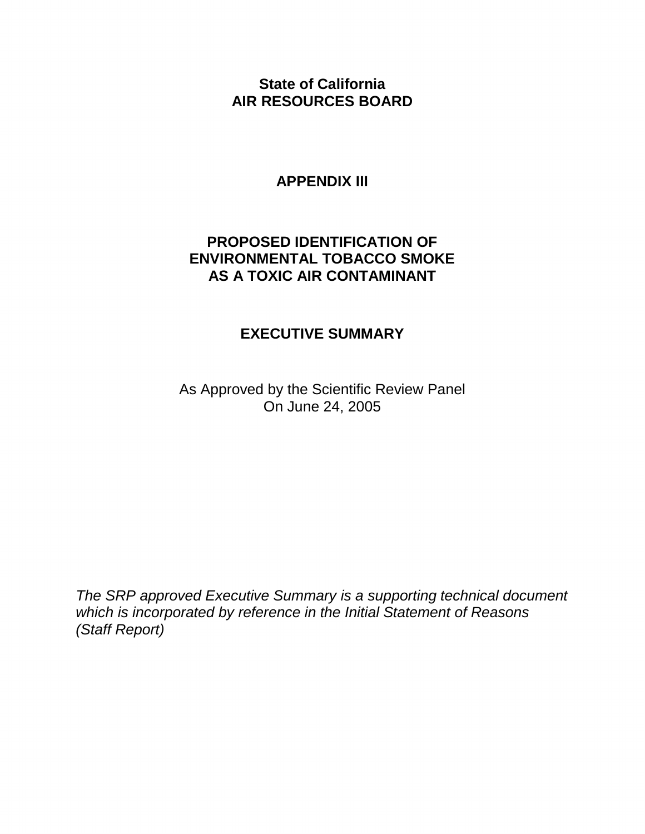**State of California AIR RESOURCES BOARD** 

#### **APPENDIX III**

#### **PROPOSED IDENTIFICATION OF ENVIRONMENTAL TOBACCO SMOKE AS A TOXIC AIR CONTAMINANT**

#### **EXECUTIVE SUMMARY**

As Approved by the Scientific Review Panel On June 24, 2005

The SRP approved Executive Summary is a supporting technical document which is incorporated by reference in the Initial Statement of Reasons (Staff Report)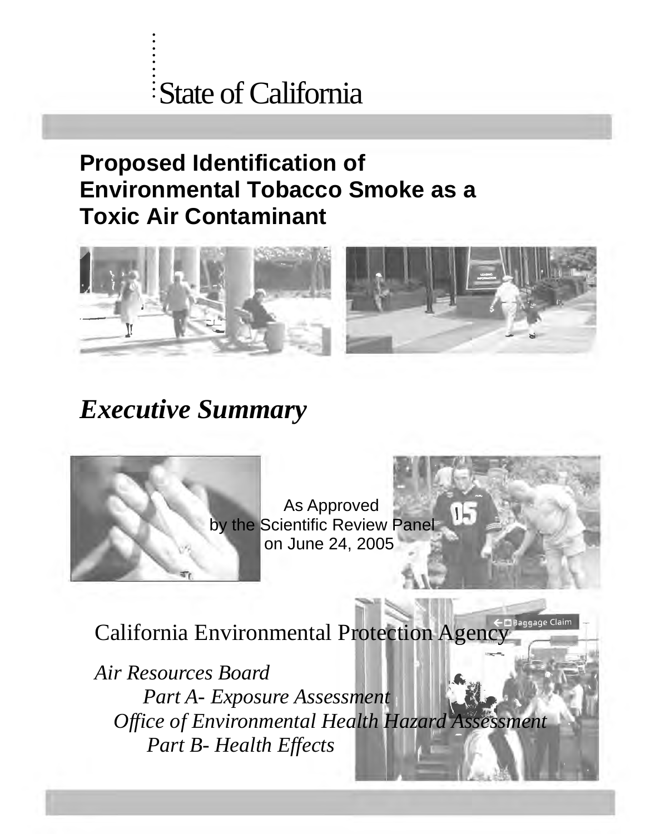# . :<br>State of California

# **Proposed Identification of Environmental Tobacco Smoke as a Toxic Air Contaminant**



# *Executive Summary*



. . :<br>: . . :<br>:

> As Approved by the Scientific Review Panel on June 24, 2005

١F

California Environmental Protection Agency

*Air Resources Board Part A- Exposure Assessment Office of Environmental Health Hazard Assessment Part B- Health Effects*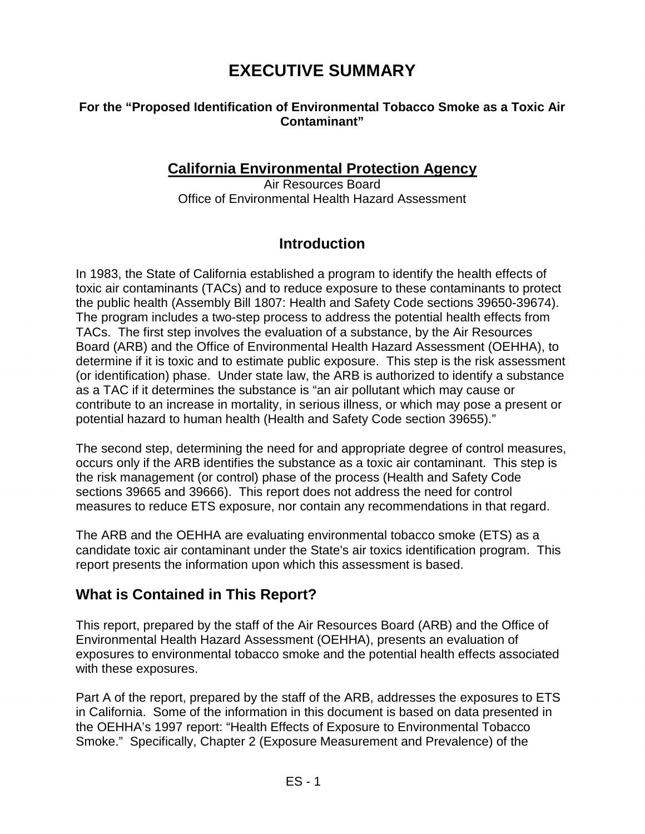# **EXECUTIVE SUMMARY**

#### **For the "Proposed Identification of Environmental Tobacco Smoke as a Toxic Air Contaminant"**

### **California Environmental Protection Agency**

Air Resources Board Office of Environmental Health Hazard Assessment

### **Introduction**

In 1983, the State of California established a program to identify the health effects of toxic air contaminants (TACs) and to reduce exposure to these contaminants to protect the public health (Assembly Bill 1807: Health and Safety Code sections 39650-39674). The program includes a two-step process to address the potential health effects from TACs. The first step involves the evaluation of a substance, by the Air Resources Board (ARB) and the Office of Environmental Health Hazard Assessment (OEHHA), to determine if it is toxic and to estimate public exposure. This step is the risk assessment (or identification) phase. Under state law, the ARB is authorized to identify a substance as a TAC if it determines the substance is "an air pollutant which may cause or contribute to an increase in mortality, in serious illness, or which may pose a present or potential hazard to human health (Health and Safety Code section 39655)."

The second step, determining the need for and appropriate degree of control measures, occurs only if the ARB identifies the substance as a toxic air contaminant. This step is the risk management (or control) phase of the process (Health and Safety Code sections 39665 and 39666). This report does not address the need for control measures to reduce ETS exposure, nor contain any recommendations in that regard.

The ARB and the OEHHA are evaluating environmental tobacco smoke (ETS) as a candidate toxic air contaminant under the State's air toxics identification program. This report presents the information upon which this assessment is based.

### **What is Contained in This Report?**

This report, prepared by the staff of the Air Resources Board (ARB) and the Office of Environmental Health Hazard Assessment (OEHHA), presents an evaluation of exposures to environmental tobacco smoke and the potential health effects associated with these exposures.

Part A of the report, prepared by the staff of the ARB, addresses the exposures to ETS in California. Some of the information in this document is based on data presented in the OEHHA's 1997 report: "Health Effects of Exposure to Environmental Tobacco Smoke." Specifically, Chapter 2 (Exposure Measurement and Prevalence) of the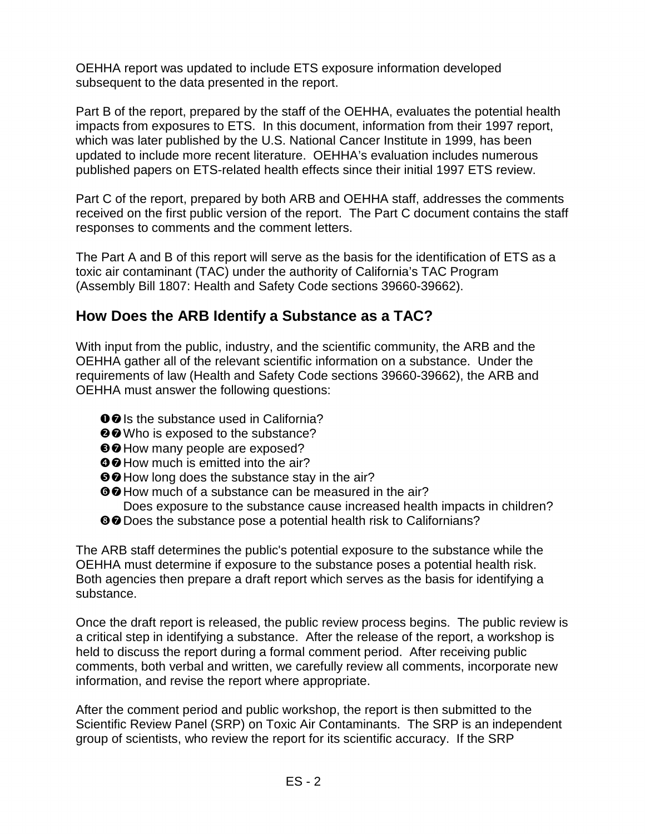OEHHA report was updated to include ETS exposure information developed subsequent to the data presented in the report.

Part B of the report, prepared by the staff of the OEHHA, evaluates the potential health impacts from exposures to ETS. In this document, information from their 1997 report, which was later published by the U.S. National Cancer Institute in 1999, has been updated to include more recent literature. OEHHA's evaluation includes numerous published papers on ETS-related health effects since their initial 1997 ETS review.

Part C of the report, prepared by both ARB and OEHHA staff, addresses the comments received on the first public version of the report. The Part C document contains the staff responses to comments and the comment letters.

The Part A and B of this report will serve as the basis for the identification of ETS as a toxic air contaminant (TAC) under the authority of California's TAC Program (Assembly Bill 1807: Health and Safety Code sections 39660-39662).

#### **How Does the ARB Identify a Substance as a TAC?**

With input from the public, industry, and the scientific community, the ARB and the OEHHA gather all of the relevant scientific information on a substance. Under the requirements of law (Health and Safety Code sections 39660-39662), the ARB and OEHHA must answer the following questions:

- OO Is the substance used in California?
- **@@** Who is exposed to the substance?
- **<sup>80</sup>How many people are exposed?**
- **OO** How much is emitted into the air?
- **OO** How long does the substance stay in the air?
- **OO** How much of a substance can be measured in the air? Does exposure to the substance cause increased health impacts in children?
- <sup>●</sup> Does the substance pose a potential health risk to Californians?

The ARB staff determines the public's potential exposure to the substance while the OEHHA must determine if exposure to the substance poses a potential health risk. Both agencies then prepare a draft report which serves as the basis for identifying a substance.

Once the draft report is released, the public review process begins. The public review is a critical step in identifying a substance. After the release of the report, a workshop is held to discuss the report during a formal comment period. After receiving public comments, both verbal and written, we carefully review all comments, incorporate new information, and revise the report where appropriate.

After the comment period and public workshop, the report is then submitted to the Scientific Review Panel (SRP) on Toxic Air Contaminants. The SRP is an independent group of scientists, who review the report for its scientific accuracy. If the SRP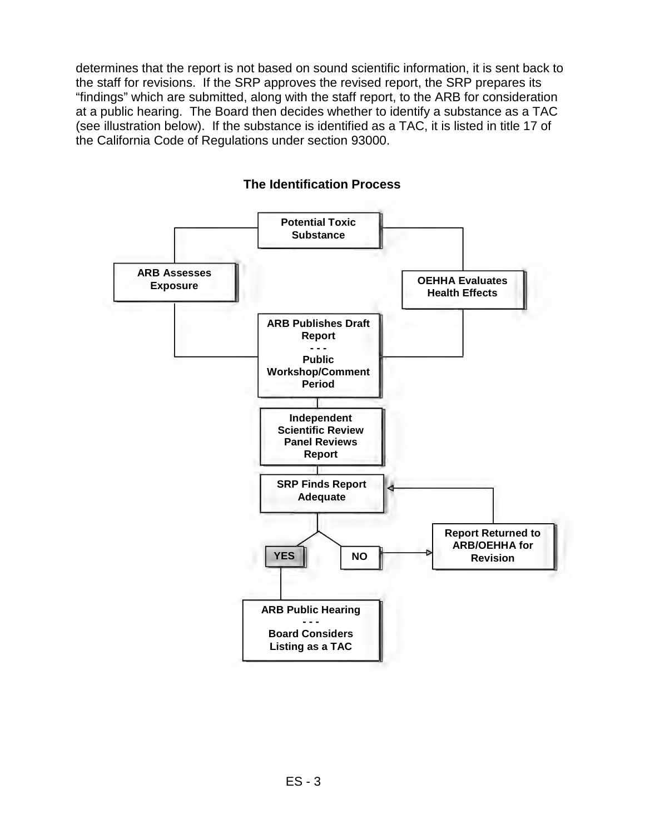determines that the report is not based on sound scientific information, it is sent back to the staff for revisions. If the SRP approves the revised report, the SRP prepares its "findings" which are submitted, along with the staff report, to the ARB for consideration at a public hearing. The Board then decides whether to identify a substance as a TAC (see illustration below). If the substance is identified as a TAC, it is listed in title 17 of the California Code of Regulations under section 93000.



#### **The Identification Process**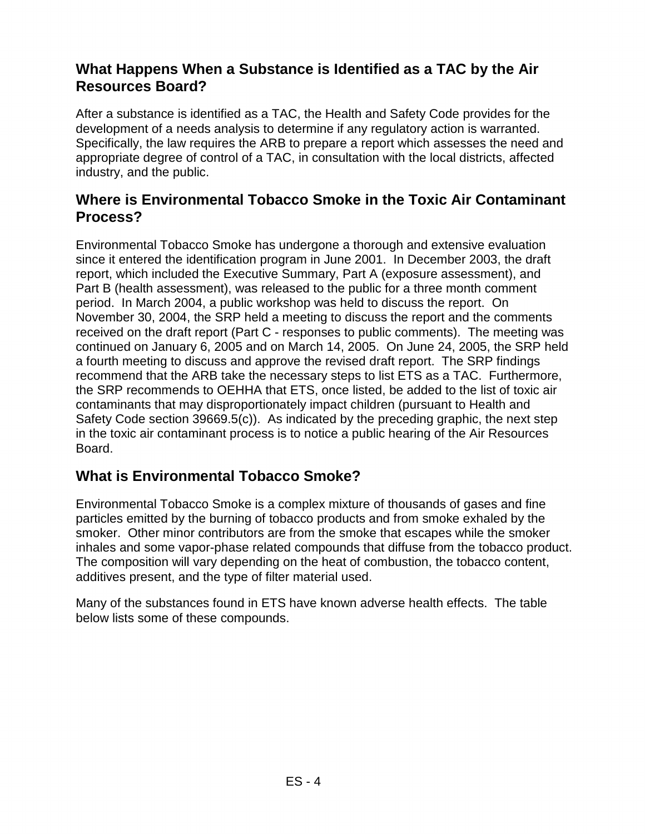### **What Happens When a Substance is Identified as a TAC by the Air Resources Board?**

After a substance is identified as a TAC, the Health and Safety Code provides for the development of a needs analysis to determine if any regulatory action is warranted. Specifically, the law requires the ARB to prepare a report which assesses the need and appropriate degree of control of a TAC, in consultation with the local districts, affected industry, and the public.

#### **Where is Environmental Tobacco Smoke in the Toxic Air Contaminant Process?**

Environmental Tobacco Smoke has undergone a thorough and extensive evaluation since it entered the identification program in June 2001. In December 2003, the draft report, which included the Executive Summary, Part A (exposure assessment), and Part B (health assessment), was released to the public for a three month comment period. In March 2004, a public workshop was held to discuss the report. On November 30, 2004, the SRP held a meeting to discuss the report and the comments received on the draft report (Part C - responses to public comments). The meeting was continued on January 6, 2005 and on March 14, 2005. On June 24, 2005, the SRP held a fourth meeting to discuss and approve the revised draft report. The SRP findings recommend that the ARB take the necessary steps to list ETS as a TAC. Furthermore, the SRP recommends to OEHHA that ETS, once listed, be added to the list of toxic air contaminants that may disproportionately impact children (pursuant to Health and Safety Code section 39669.5(c)). As indicated by the preceding graphic, the next step in the toxic air contaminant process is to notice a public hearing of the Air Resources Board.

### **What is Environmental Tobacco Smoke?**

Environmental Tobacco Smoke is a complex mixture of thousands of gases and fine particles emitted by the burning of tobacco products and from smoke exhaled by the smoker. Other minor contributors are from the smoke that escapes while the smoker inhales and some vapor-phase related compounds that diffuse from the tobacco product. The composition will vary depending on the heat of combustion, the tobacco content, additives present, and the type of filter material used.

Many of the substances found in ETS have known adverse health effects. The table below lists some of these compounds.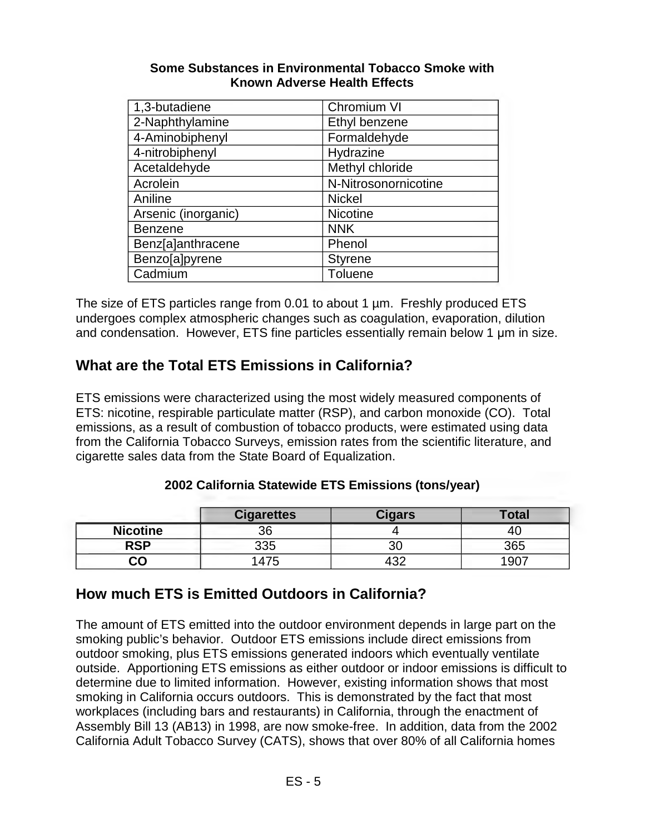#### **Some Substances in Environmental Tobacco Smoke with Known Adverse Health Effects**

| 1,3-butadiene       | Chromium VI          |
|---------------------|----------------------|
| 2-Naphthylamine     | Ethyl benzene        |
| 4-Aminobiphenyl     | Formaldehyde         |
| 4-nitrobiphenyl     | Hydrazine            |
| Acetaldehyde        | Methyl chloride      |
| Acrolein            | N-Nitrosonornicotine |
| Aniline             | <b>Nickel</b>        |
| Arsenic (inorganic) | <b>Nicotine</b>      |
| <b>Benzene</b>      | <b>NNK</b>           |
| Benz[a]anthracene   | Phenol               |
| Benzo[a]pyrene      | <b>Styrene</b>       |
| Cadmium             | <b>Toluene</b>       |

The size of ETS particles range from 0.01 to about 1 µm. Freshly produced ETS undergoes complex atmospheric changes such as coagulation, evaporation, dilution and condensation. However, ETS fine particles essentially remain below 1 µm in size.

# **What are the Total ETS Emissions in California?**

ETS emissions were characterized using the most widely measured components of ETS: nicotine, respirable particulate matter (RSP), and carbon monoxide (CO). Total emissions, as a result of combustion of tobacco products, were estimated using data from the California Tobacco Surveys, emission rates from the scientific literature, and cigarette sales data from the State Board of Equalization.

#### **2002 California Statewide ETS Emissions (tons/year)**

|                 | <b>Cigarettes</b> | <b>Cigars</b> | <b>Total</b>  |
|-----------------|-------------------|---------------|---------------|
| <b>Nicotine</b> | 36                |               |               |
| <b>RSP</b>      | 335               | υu            | 365           |
| ငဝ              | 47                | מΩ<br>tJZ     | $190^{\circ}$ |

### **How much ETS is Emitted Outdoors in California?**

The amount of ETS emitted into the outdoor environment depends in large part on the smoking public's behavior. Outdoor ETS emissions include direct emissions from outdoor smoking, plus ETS emissions generated indoors which eventually ventilate outside. Apportioning ETS emissions as either outdoor or indoor emissions is difficult to determine due to limited information. However, existing information shows that most smoking in California occurs outdoors. This is demonstrated by the fact that most workplaces (including bars and restaurants) in California, through the enactment of Assembly Bill 13 (AB13) in 1998, are now smoke-free. In addition, data from the 2002 California Adult Tobacco Survey (CATS), shows that over 80% of all California homes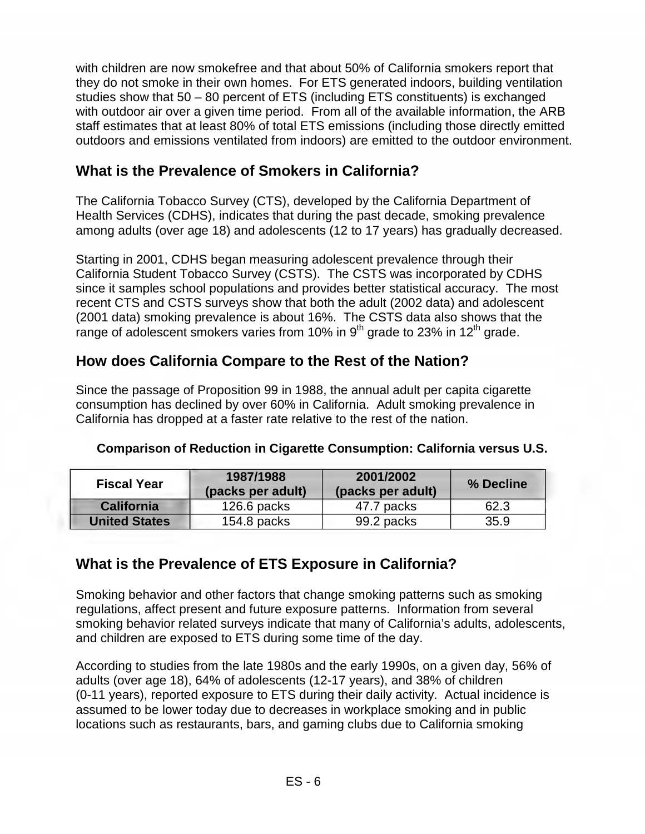with children are now smokefree and that about 50% of California smokers report that they do not smoke in their own homes. For ETS generated indoors, building ventilation studies show that 50 – 80 percent of ETS (including ETS constituents) is exchanged with outdoor air over a given time period. From all of the available information, the ARB staff estimates that at least 80% of total ETS emissions (including those directly emitted outdoors and emissions ventilated from indoors) are emitted to the outdoor environment.

#### **What is the Prevalence of Smokers in California?**

The California Tobacco Survey (CTS), developed by the California Department of Health Services (CDHS), indicates that during the past decade, smoking prevalence among adults (over age 18) and adolescents (12 to 17 years) has gradually decreased.

Starting in 2001, CDHS began measuring adolescent prevalence through their California Student Tobacco Survey (CSTS). The CSTS was incorporated by CDHS since it samples school populations and provides better statistical accuracy. The most recent CTS and CSTS surveys show that both the adult (2002 data) and adolescent (2001 data) smoking prevalence is about 16%. The CSTS data also shows that the range of adolescent smokers varies from 10% in  $9<sup>th</sup>$  grade to 23% in 12<sup>th</sup> grade.

# **How does California Compare to the Rest of the Nation?**

Since the passage of Proposition 99 in 1988, the annual adult per capita cigarette consumption has declined by over 60% in California. Adult smoking prevalence in California has dropped at a faster rate relative to the rest of the nation.

| <b>Fiscal Year</b>   | 1987/1988<br>(packs per adult) | 2001/2002<br>(packs per adult) | % Decline |
|----------------------|--------------------------------|--------------------------------|-----------|
| <b>California</b>    | $126.6$ packs                  | 47.7 packs                     | 62.3      |
| <b>United States</b> | $154.8$ packs                  | 99.2 packs                     | 35.9      |

#### **Comparison of Reduction in Cigarette Consumption: California versus U.S.**

### **What is the Prevalence of ETS Exposure in California?**

Smoking behavior and other factors that change smoking patterns such as smoking regulations, affect present and future exposure patterns. Information from several smoking behavior related surveys indicate that many of California's adults, adolescents, and children are exposed to ETS during some time of the day.

According to studies from the late 1980s and the early 1990s, on a given day, 56% of adults (over age 18), 64% of adolescents (12-17 years), and 38% of children (0-11 years), reported exposure to ETS during their daily activity. Actual incidence is assumed to be lower today due to decreases in workplace smoking and in public locations such as restaurants, bars, and gaming clubs due to California smoking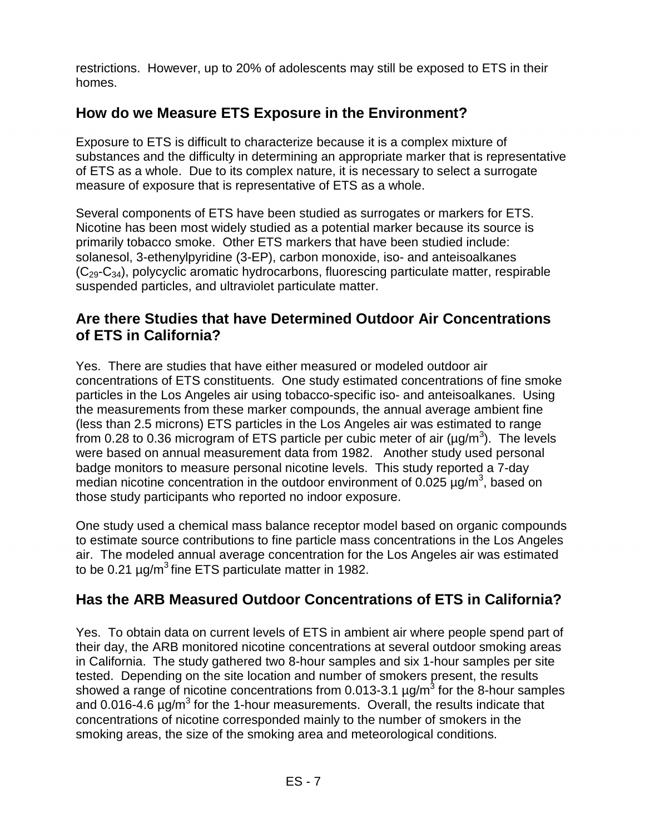restrictions. However, up to 20% of adolescents may still be exposed to ETS in their homes.

## **How do we Measure ETS Exposure in the Environment?**

Exposure to ETS is difficult to characterize because it is a complex mixture of substances and the difficulty in determining an appropriate marker that is representative of ETS as a whole. Due to its complex nature, it is necessary to select a surrogate measure of exposure that is representative of ETS as a whole.

Several components of ETS have been studied as surrogates or markers for ETS. Nicotine has been most widely studied as a potential marker because its source is primarily tobacco smoke. Other ETS markers that have been studied include: solanesol, 3-ethenylpyridine (3-EP), carbon monoxide, iso- and anteisoalkanes  $(C_{29}-C_{34})$ , polycyclic aromatic hydrocarbons, fluorescing particulate matter, respirable suspended particles, and ultraviolet particulate matter.

### **Are there Studies that have Determined Outdoor Air Concentrations of ETS in California?**

Yes. There are studies that have either measured or modeled outdoor air concentrations of ETS constituents. One study estimated concentrations of fine smoke particles in the Los Angeles air using tobacco-specific iso- and anteisoalkanes. Using the measurements from these marker compounds, the annual average ambient fine (less than 2.5 microns) ETS particles in the Los Angeles air was estimated to range from 0.28 to 0.36 microgram of ETS particle per cubic meter of air ( $\mu$ g/m<sup>3</sup>). The levels were based on annual measurement data from 1982. Another study used personal badge monitors to measure personal nicotine levels. This study reported a 7-day median nicotine concentration in the outdoor environment of 0.025  $\mu$ g/m<sup>3</sup>, based on those study participants who reported no indoor exposure.

One study used a chemical mass balance receptor model based on organic compounds to estimate source contributions to fine particle mass concentrations in the Los Angeles air. The modeled annual average concentration for the Los Angeles air was estimated to be 0.21  $\mu$ g/m<sup>3</sup> fine ETS particulate matter in 1982.

# **Has the ARB Measured Outdoor Concentrations of ETS in California?**

Yes. To obtain data on current levels of ETS in ambient air where people spend part of their day, the ARB monitored nicotine concentrations at several outdoor smoking areas in California. The study gathered two 8-hour samples and six 1-hour samples per site tested. Depending on the site location and number of smokers present, the results showed a range of nicotine concentrations from 0.013-3.1  $\mu q/m^3$  for the 8-hour samples and 0.016-4.6  $\mu q/m^3$  for the 1-hour measurements. Overall, the results indicate that concentrations of nicotine corresponded mainly to the number of smokers in the smoking areas, the size of the smoking area and meteorological conditions.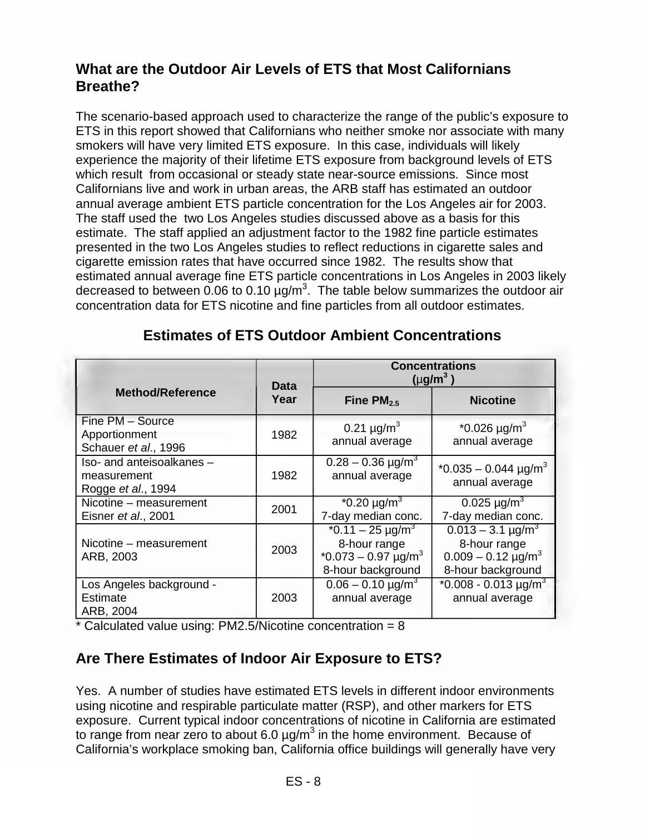## **What are the Outdoor Air Levels of ETS that Most Californians Breathe?**

The scenario-based approach used to characterize the range of the public's exposure to ETS in this report showed that Californians who neither smoke nor associate with many smokers will have very limited ETS exposure. In this case, individuals will likely experience the majority of their lifetime ETS exposure from background levels of ETS which result from occasional or steady state near-source emissions. Since most Californians live and work in urban areas, the ARB staff has estimated an outdoor annual average ambient ETS particle concentration for the Los Angeles air for 2003. The staff used the two Los Angeles studies discussed above as a basis for this estimate. The staff applied an adjustment factor to the 1982 fine particle estimates presented in the two Los Angeles studies to reflect reductions in cigarette sales and cigarette emission rates that have occurred since 1982. The results show that estimated annual average fine ETS particle concentrations in Los Angeles in 2003 likely decreased to between  $0.06$  to 0.10  $\mu$ g/m<sup>3</sup>. The table below summarizes the outdoor air concentration data for ETS nicotine and fine particles from all outdoor estimates.

|                                                                | <b>Data</b> | <b>Concentrations</b><br>$(\mu g/m^3)$                                                        |                                                                                                 |  |
|----------------------------------------------------------------|-------------|-----------------------------------------------------------------------------------------------|-------------------------------------------------------------------------------------------------|--|
| <b>Method/Reference</b>                                        | Year        | Fine $PM2.5$                                                                                  | <b>Nicotine</b>                                                                                 |  |
| Fine PM - Source<br>Apportionment<br>Schauer et al., 1996      | 1982        | 0.21 $\mu$ g/m <sup>3</sup><br>annual average                                                 | $*0.026 \mu g/m^3$<br>annual average                                                            |  |
| Iso- and anteisoalkanes -<br>measurement<br>Rogge et al., 1994 | 1982        | $0.28 - 0.36$ µg/m <sup>3</sup><br>annual average                                             | $*0.035 - 0.044 \text{ µg/m}^3$<br>annual average                                               |  |
| Nicotine - measurement<br>Eisner et al., 2001                  | 2001        | $*0.20 \mu g/m^3$<br>7-day median conc.                                                       | 0.025 $\mu$ g/m <sup>3</sup><br>7-day median conc.                                              |  |
| Nicotine – measurement<br>ARB, 2003                            | 2003        | $*0.11 - 25 \mu g/m^3$<br>8-hour range<br>$*0.073 - 0.97 \text{ µg/m}^3$<br>8-hour background | $0.013 - 3.1 \,\mu g/m^3$<br>8-hour range<br>$0.009 - 0.12 \text{ µg/m}^3$<br>8-hour background |  |
| Los Angeles background -<br>Estimate<br>ARB, 2004              | 2003        | $0.06 - 0.10 \mu g/m^3$<br>annual average                                                     | $*0.008 - 0.013 \mu g/m^3$<br>annual average                                                    |  |

#### **Estimates of ETS Outdoor Ambient Concentrations**

 $*$  Calculated value using: PM2.5/Nicotine concentration = 8

### **Are There Estimates of Indoor Air Exposure to ETS?**

Yes. A number of studies have estimated ETS levels in different indoor environments using nicotine and respirable particulate matter (RSP), and other markers for ETS exposure. Current typical indoor concentrations of nicotine in California are estimated to range from near zero to about 6.0  $\mu$ g/m<sup>3</sup> in the home environment. Because of California's workplace smoking ban, California office buildings will generally have very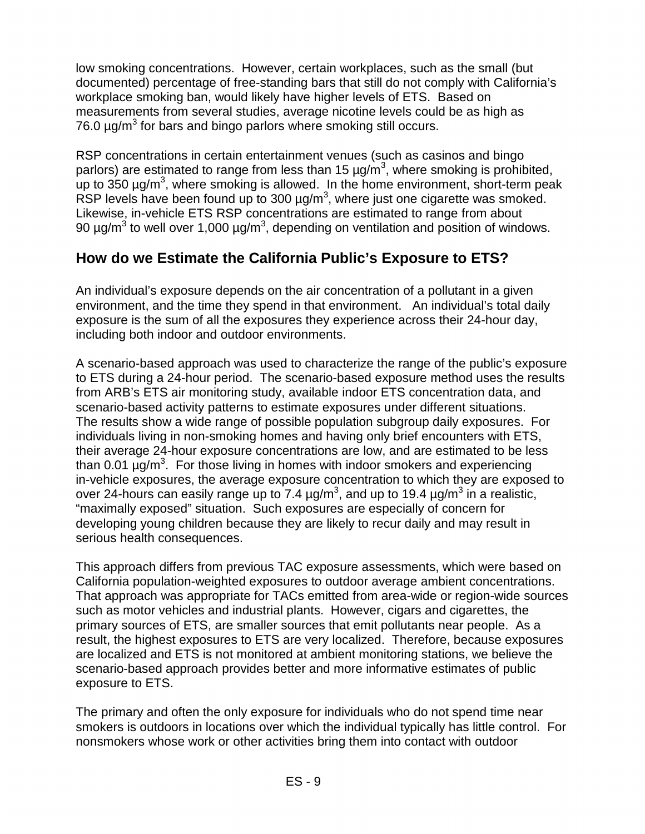low smoking concentrations. However, certain workplaces, such as the small (but documented) percentage of free-standing bars that still do not comply with California's workplace smoking ban, would likely have higher levels of ETS. Based on measurements from several studies, average nicotine levels could be as high as 76.0  $\mu$ g/m<sup>3</sup> for bars and bingo parlors where smoking still occurs.

RSP concentrations in certain entertainment venues (such as casinos and bingo parlors) are estimated to range from less than 15  $\mu$ g/m<sup>3</sup>, where smoking is prohibited, up to  $350 \mu g/m^3$ , where smoking is allowed. In the home environment, short-term peak RSP levels have been found up to 300  $\mu$ g/m<sup>3</sup>, where just one cigarette was smoked. Likewise, in-vehicle ETS RSP concentrations are estimated to range from about 90  $\mu$ g/m<sup>3</sup> to well over 1,000  $\mu$ g/m<sup>3</sup>, depending on ventilation and position of windows.

### **How do we Estimate the California Public's Exposure to ETS?**

An individual's exposure depends on the air concentration of a pollutant in a given environment, and the time they spend in that environment. An individual's total daily exposure is the sum of all the exposures they experience across their 24-hour day, including both indoor and outdoor environments.

A scenario-based approach was used to characterize the range of the public's exposure to ETS during a 24-hour period. The scenario-based exposure method uses the results from ARB's ETS air monitoring study, available indoor ETS concentration data, and scenario-based activity patterns to estimate exposures under different situations. The results show a wide range of possible population subgroup daily exposures. For individuals living in non-smoking homes and having only brief encounters with ETS, their average 24-hour exposure concentrations are low, and are estimated to be less than 0.01  $\mu$ g/m<sup>3</sup>. For those living in homes with indoor smokers and experiencing in-vehicle exposures, the average exposure concentration to which they are exposed to over 24-hours can easily range up to 7.4  $\mu$ g/m<sup>3</sup>, and up to 19.4  $\mu$ g/m<sup>3</sup> in a realistic, "maximally exposed" situation. Such exposures are especially of concern for developing young children because they are likely to recur daily and may result in serious health consequences.

This approach differs from previous TAC exposure assessments, which were based on California population-weighted exposures to outdoor average ambient concentrations. That approach was appropriate for TACs emitted from area-wide or region-wide sources such as motor vehicles and industrial plants. However, cigars and cigarettes, the primary sources of ETS, are smaller sources that emit pollutants near people. As a result, the highest exposures to ETS are very localized. Therefore, because exposures are localized and ETS is not monitored at ambient monitoring stations, we believe the scenario-based approach provides better and more informative estimates of public exposure to ETS.

The primary and often the only exposure for individuals who do not spend time near smokers is outdoors in locations over which the individual typically has little control. For nonsmokers whose work or other activities bring them into contact with outdoor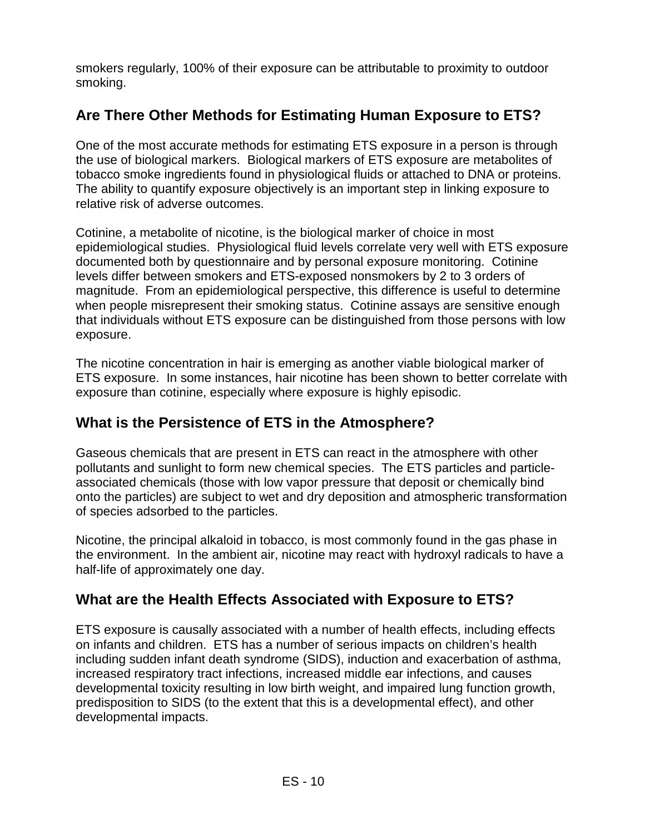smokers regularly, 100% of their exposure can be attributable to proximity to outdoor smoking.

# **Are There Other Methods for Estimating Human Exposure to ETS?**

One of the most accurate methods for estimating ETS exposure in a person is through the use of biological markers. Biological markers of ETS exposure are metabolites of tobacco smoke ingredients found in physiological fluids or attached to DNA or proteins. The ability to quantify exposure objectively is an important step in linking exposure to relative risk of adverse outcomes.

Cotinine, a metabolite of nicotine, is the biological marker of choice in most epidemiological studies. Physiological fluid levels correlate very well with ETS exposure documented both by questionnaire and by personal exposure monitoring. Cotinine levels differ between smokers and ETS-exposed nonsmokers by 2 to 3 orders of magnitude. From an epidemiological perspective, this difference is useful to determine when people misrepresent their smoking status. Cotinine assays are sensitive enough that individuals without ETS exposure can be distinguished from those persons with low exposure.

The nicotine concentration in hair is emerging as another viable biological marker of ETS exposure. In some instances, hair nicotine has been shown to better correlate with exposure than cotinine, especially where exposure is highly episodic.

#### **What is the Persistence of ETS in the Atmosphere?**

Gaseous chemicals that are present in ETS can react in the atmosphere with other pollutants and sunlight to form new chemical species. The ETS particles and particleassociated chemicals (those with low vapor pressure that deposit or chemically bind onto the particles) are subject to wet and dry deposition and atmospheric transformation of species adsorbed to the particles.

Nicotine, the principal alkaloid in tobacco, is most commonly found in the gas phase in the environment. In the ambient air, nicotine may react with hydroxyl radicals to have a half-life of approximately one day.

### **What are the Health Effects Associated with Exposure to ETS?**

ETS exposure is causally associated with a number of health effects, including effects on infants and children. ETS has a number of serious impacts on children's health including sudden infant death syndrome (SIDS), induction and exacerbation of asthma, increased respiratory tract infections, increased middle ear infections, and causes developmental toxicity resulting in low birth weight, and impaired lung function growth, predisposition to SIDS (to the extent that this is a developmental effect), and other developmental impacts.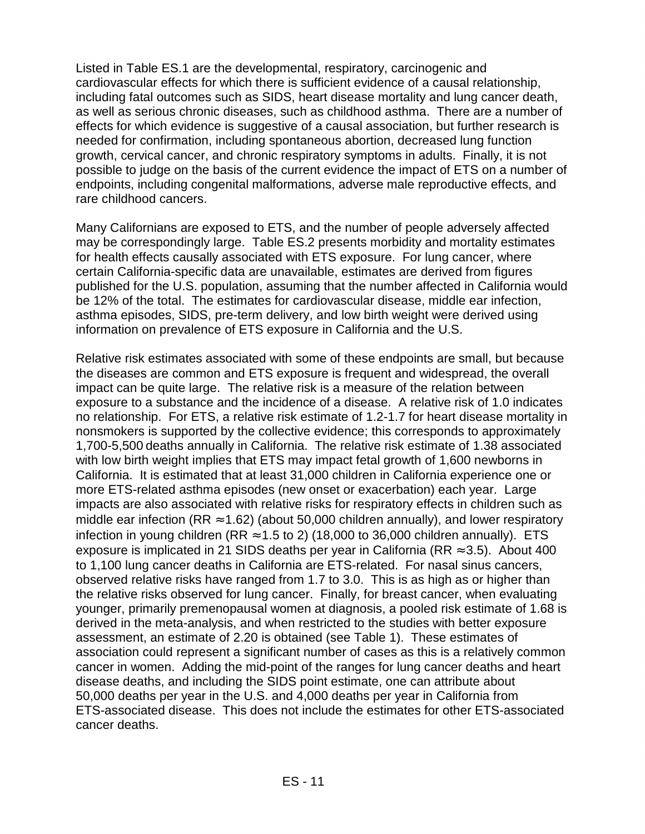Listed in Table ES.1 are the developmental, respiratory, carcinogenic and cardiovascular effects for which there is sufficient evidence of a causal relationship, including fatal outcomes such as SIDS, heart disease mortality and lung cancer death, as well as serious chronic diseases, such as childhood asthma. There are a number of effects for which evidence is suggestive of a causal association, but further research is needed for confirmation, including spontaneous abortion, decreased lung function growth, cervical cancer, and chronic respiratory symptoms in adults. Finally, it is not possible to judge on the basis of the current evidence the impact of ETS on a number of endpoints, including congenital malformations, adverse male reproductive effects, and rare childhood cancers.

Many Californians are exposed to ETS, and the number of people adversely affected may be correspondingly large. Table ES.2 presents morbidity and mortality estimates for health effects causally associated with ETS exposure. For lung cancer, where certain California-specific data are unavailable, estimates are derived from figures published for the U.S. population, assuming that the number affected in California would be 12% of the total. The estimates for cardiovascular disease, middle ear infection, asthma episodes, SIDS, pre-term delivery, and low birth weight were derived using information on prevalence of ETS exposure in California and the U.S.

Relative risk estimates associated with some of these endpoints are small, but because the diseases are common and ETS exposure is frequent and widespread, the overall impact can be quite large. The relative risk is a measure of the relation between exposure to a substance and the incidence of a disease. A relative risk of 1.0 indicates no relationship. For ETS, a relative risk estimate of 1.2-1.7 for heart disease mortality in nonsmokers is supported by the collective evidence; this corresponds to approximately 1,700-5,500 deaths annually in California. The relative risk estimate of 1.38 associated with low birth weight implies that ETS may impact fetal growth of 1,600 newborns in California. It is estimated that at least 31,000 children in California experience one or more ETS-related asthma episodes (new onset or exacerbation) each year. Large impacts are also associated with relative risks for respiratory effects in children such as middle ear infection (RR  $\approx$  1.62) (about 50,000 children annually), and lower respiratory infection in young children (RR  $\approx$  1.5 to 2) (18,000 to 36,000 children annually). ETS exposure is implicated in 21 SIDS deaths per year in California (RR  $\approx$  3.5). About 400 to 1,100 lung cancer deaths in California are ETS-related. For nasal sinus cancers, observed relative risks have ranged from 1.7 to 3.0. This is as high as or higher than the relative risks observed for lung cancer. Finally, for breast cancer, when evaluating younger, primarily premenopausal women at diagnosis, a pooled risk estimate of 1.68 is derived in the meta-analysis, and when restricted to the studies with better exposure assessment, an estimate of 2.20 is obtained (see Table 1). These estimates of association could represent a significant number of cases as this is a relatively common cancer in women. Adding the mid-point of the ranges for lung cancer deaths and heart disease deaths, and including the SIDS point estimate, one can attribute about 50,000 deaths per year in the U.S. and 4,000 deaths per year in California from ETS-associated disease. This does not include the estimates for other ETS-associated cancer deaths.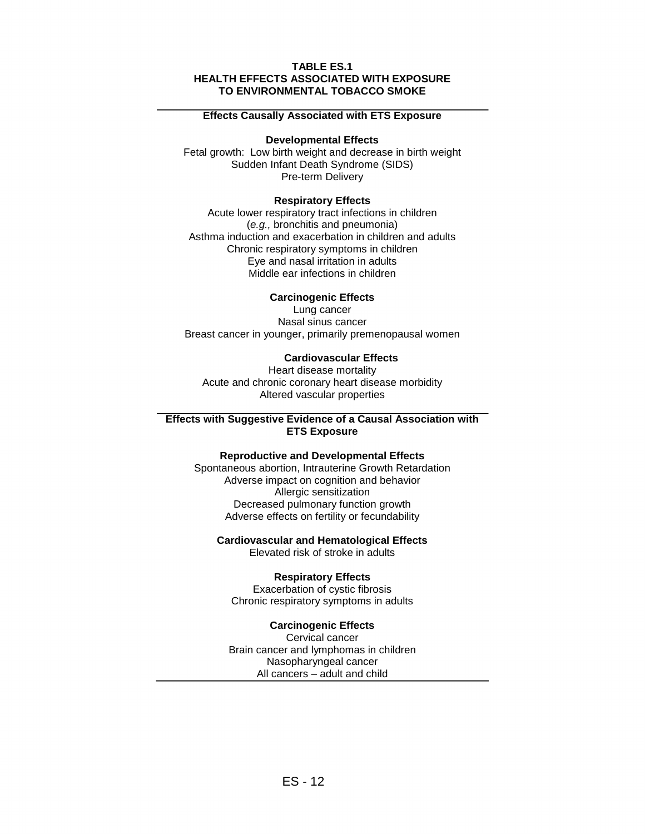#### **TABLE ES.1 HEALTH EFFECTS ASSOCIATED WITH EXPOSURE TO ENVIRONMENTAL TOBACCO SMOKE**

#### **Effects Causally Associated with ETS Exposure**

#### **Developmental Effects**

Fetal growth: Low birth weight and decrease in birth weight Sudden Infant Death Syndrome (SIDS) Pre-term Delivery

#### **Respiratory Effects**

Acute lower respiratory tract infections in children (e.g., bronchitis and pneumonia) Asthma induction and exacerbation in children and adults Chronic respiratory symptoms in children Eye and nasal irritation in adults Middle ear infections in children

#### **Carcinogenic Effects**

Lung cancer Nasal sinus cancer Breast cancer in younger, primarily premenopausal women

#### **Cardiovascular Effects**

Heart disease mortality Acute and chronic coronary heart disease morbidity Altered vascular properties

#### **Effects with Suggestive Evidence of a Causal Association with ETS Exposure**

#### **Reproductive and Developmental Effects**

Spontaneous abortion, Intrauterine Growth Retardation Adverse impact on cognition and behavior Allergic sensitization Decreased pulmonary function growth Adverse effects on fertility or fecundability

#### **Cardiovascular and Hematological Effects**

Elevated risk of stroke in adults

#### **Respiratory Effects**

Exacerbation of cystic fibrosis Chronic respiratory symptoms in adults

#### **Carcinogenic Effects**

Cervical cancer Brain cancer and lymphomas in children Nasopharyngeal cancer All cancers – adult and child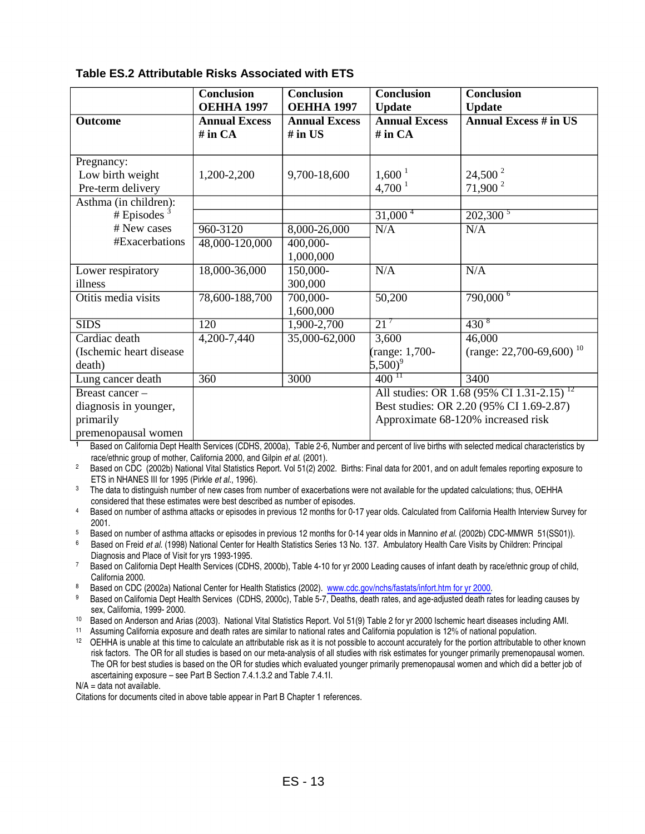#### **Table ES.2 Attributable Risks Associated with ETS**

|                          | <b>Conclusion</b>    | <b>Conclusion</b>           | <b>Conclusion</b>             | <b>Conclusion</b>                                     |
|--------------------------|----------------------|-----------------------------|-------------------------------|-------------------------------------------------------|
|                          | <b>ОЕННА 1997</b>    | <b>ОЕННА 1997</b>           | <b>Update</b>                 | <b>Update</b>                                         |
| Outcome                  | <b>Annual Excess</b> | <b>Annual Excess</b>        | <b>Annual Excess</b>          | <b>Annual Excess # in US</b>                          |
|                          | $#$ in $CA$          | $#$ in US                   | $#$ in $CA$                   |                                                       |
|                          |                      |                             |                               |                                                       |
| Pregnancy:               |                      |                             |                               |                                                       |
| Low birth weight         | 1,200-2,200          | 9,700-18,600                | $1,600^1$                     | $24,500^2$                                            |
| Pre-term delivery        |                      |                             | $4,700^1$                     | 71,900 $^{2}$                                         |
| Asthma (in children):    |                      |                             |                               |                                                       |
| # Episodes $3$           |                      |                             | $31,000^4$                    | $202,300^5$                                           |
| # New cases              | 960-3120             | 8,000-26,000                | N/A                           | N/A                                                   |
| #Exacerbations           | 48,000-120,000       | 400,000-                    |                               |                                                       |
|                          |                      | 1,000,000                   |                               |                                                       |
| Lower respiratory        | 18,000-36,000        | 150,000-                    | N/A                           | N/A                                                   |
| illness                  |                      | 300,000                     |                               |                                                       |
| Otitis media visits      | 78,600-188,700       | 700,000-                    | 50,200                        | $790,000^6$                                           |
|                          |                      | 1,600,000                   |                               |                                                       |
| <b>SIDS</b>              | 120                  | 1,900-2,700                 | $21^7$                        | $\frac{430^{8}}{9}$                                   |
| Cardiac death            | 4,200-7,440          | $\overline{35,000}$ -62,000 | 3,600                         | 46,000                                                |
| (Ischemic heart disease) |                      |                             | range: 1,700-                 | (range: 22,700-69,600) <sup>10</sup>                  |
| death)                   |                      |                             | $5,500)^9$                    |                                                       |
| Lung cancer death        | 360                  | 3000                        | $\frac{1}{400}$ <sup>IT</sup> | 3400                                                  |
| Breast cancer -          |                      |                             |                               | All studies: OR 1.68 (95% CI 1.31-2.15) <sup>12</sup> |
| diagnosis in younger,    |                      |                             |                               | Best studies: OR 2.20 (95% CI 1.69-2.87)              |
| primarily                |                      |                             |                               | Approximate 68-120% increased risk                    |
| premenopausal women      |                      |                             |                               |                                                       |

1 Based on California Dept Health Services (CDHS, 2000a), Table 2-6, Number and percent of live births with selected medical characteristics by race/ethnic group of mother, California 2000, and Gilpin *et al.* (2001).

<sup>2</sup> Based on CDC (2002b) National Vital Statistics Report. Vol 51(2) 2002. Births: Final data for 2001, and on adult females reporting exposure to ETS in NHANES III for 1995 (Pirkle *et al.*, 1996).

<sup>3</sup> The data to distinguish number of new cases from number of exacerbations were not available for the updated calculations; thus, OEHHA

considered that these estimates were best described as number of episodes. 4 Based on number of asthma attacks or episodes in previous 12 months for 0-17 year olds. Calculated from California Health Interview Survey for

2001.<br><sup>5</sup> Based on number of asthma attacks or episodes in previous 12 months for 0-14 year olds in Mannino *et al.* (2002b) CDC-MMWR 51(SS01)).<br><sup>6</sup> Based on Freid *et al.* (1998) National Center for Health Statistics Seri

Diagnosis and Place of Visit for yrs 1993-1995.<br>7 Based on California Dept Health Services (CDHS, 2000b), Table 4-10 for yr 2000 Leading causes of infant death by race/ethnic group of child,

California 2000.

Based on CDC (2002a) National Center for Health Statistics (2002). www.cdc.gov/nchs/fastats/infort.htm for yr 2000.

9 sex, California, 1999- 2000.<br><sup>10</sup> Based on Anderson and Arias (2003). National Vital Statistics Report. Vol 51(9) Table 2 for yr 2000 Ischemic heart diseases including AMI.<br><sup>11</sup> Assuming California exposure and death rates Based on California Dept Health Services (CDHS, 2000c), Table 5-7, Deaths, death rates, and age-adjusted death rates for leading causes by

risk factors. The OR for all studies is based on our meta-analysis of all studies with risk estimates for younger primarily premenopausal women. The OR for best studies is based on the OR for studies which evaluated younger primarily premenopausal women and which did a better job of ascertaining exposure – see Part B Section 7.4.1.3.2 and Table 7.4.1I.

 $N/A =$  data not available.

Citations for documents cited in above table appear in Part B Chapter 1 references.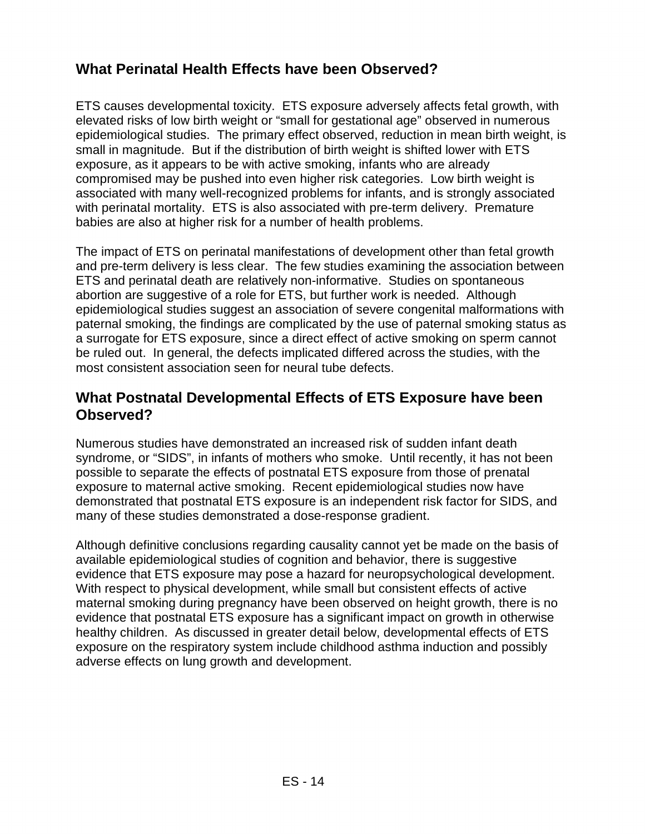# **What Perinatal Health Effects have been Observed?**

ETS causes developmental toxicity. ETS exposure adversely affects fetal growth, with elevated risks of low birth weight or "small for gestational age" observed in numerous epidemiological studies. The primary effect observed, reduction in mean birth weight, is small in magnitude. But if the distribution of birth weight is shifted lower with ETS exposure, as it appears to be with active smoking, infants who are already compromised may be pushed into even higher risk categories. Low birth weight is associated with many well-recognized problems for infants, and is strongly associated with perinatal mortality. ETS is also associated with pre-term delivery. Premature babies are also at higher risk for a number of health problems.

The impact of ETS on perinatal manifestations of development other than fetal growth and pre-term delivery is less clear. The few studies examining the association between ETS and perinatal death are relatively non-informative. Studies on spontaneous abortion are suggestive of a role for ETS, but further work is needed. Although epidemiological studies suggest an association of severe congenital malformations with paternal smoking, the findings are complicated by the use of paternal smoking status as a surrogate for ETS exposure, since a direct effect of active smoking on sperm cannot be ruled out. In general, the defects implicated differed across the studies, with the most consistent association seen for neural tube defects.

#### **What Postnatal Developmental Effects of ETS Exposure have been Observed?**

Numerous studies have demonstrated an increased risk of sudden infant death syndrome, or "SIDS", in infants of mothers who smoke. Until recently, it has not been possible to separate the effects of postnatal ETS exposure from those of prenatal exposure to maternal active smoking. Recent epidemiological studies now have demonstrated that postnatal ETS exposure is an independent risk factor for SIDS, and many of these studies demonstrated a dose-response gradient.

Although definitive conclusions regarding causality cannot yet be made on the basis of available epidemiological studies of cognition and behavior, there is suggestive evidence that ETS exposure may pose a hazard for neuropsychological development. With respect to physical development, while small but consistent effects of active maternal smoking during pregnancy have been observed on height growth, there is no evidence that postnatal ETS exposure has a significant impact on growth in otherwise healthy children. As discussed in greater detail below, developmental effects of ETS exposure on the respiratory system include childhood asthma induction and possibly adverse effects on lung growth and development.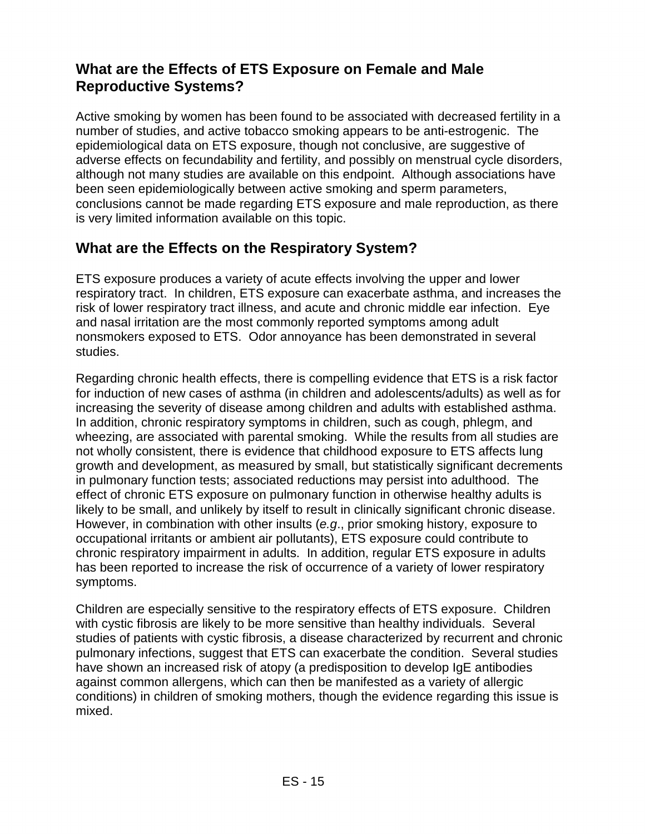## **What are the Effects of ETS Exposure on Female and Male Reproductive Systems?**

Active smoking by women has been found to be associated with decreased fertility in a number of studies, and active tobacco smoking appears to be anti-estrogenic. The epidemiological data on ETS exposure, though not conclusive, are suggestive of adverse effects on fecundability and fertility, and possibly on menstrual cycle disorders, although not many studies are available on this endpoint. Although associations have been seen epidemiologically between active smoking and sperm parameters, conclusions cannot be made regarding ETS exposure and male reproduction, as there is very limited information available on this topic.

### **What are the Effects on the Respiratory System?**

ETS exposure produces a variety of acute effects involving the upper and lower respiratory tract. In children, ETS exposure can exacerbate asthma, and increases the risk of lower respiratory tract illness, and acute and chronic middle ear infection. Eye and nasal irritation are the most commonly reported symptoms among adult nonsmokers exposed to ETS. Odor annoyance has been demonstrated in several studies.

Regarding chronic health effects, there is compelling evidence that ETS is a risk factor for induction of new cases of asthma (in children and adolescents/adults) as well as for increasing the severity of disease among children and adults with established asthma. In addition, chronic respiratory symptoms in children, such as cough, phlegm, and wheezing, are associated with parental smoking. While the results from all studies are not wholly consistent, there is evidence that childhood exposure to ETS affects lung growth and development, as measured by small, but statistically significant decrements in pulmonary function tests; associated reductions may persist into adulthood. The effect of chronic ETS exposure on pulmonary function in otherwise healthy adults is likely to be small, and unlikely by itself to result in clinically significant chronic disease. However, in combination with other insults (e.g., prior smoking history, exposure to occupational irritants or ambient air pollutants), ETS exposure could contribute to chronic respiratory impairment in adults. In addition, regular ETS exposure in adults has been reported to increase the risk of occurrence of a variety of lower respiratory symptoms.

Children are especially sensitive to the respiratory effects of ETS exposure. Children with cystic fibrosis are likely to be more sensitive than healthy individuals. Several studies of patients with cystic fibrosis, a disease characterized by recurrent and chronic pulmonary infections, suggest that ETS can exacerbate the condition. Several studies have shown an increased risk of atopy (a predisposition to develop IgE antibodies against common allergens, which can then be manifested as a variety of allergic conditions) in children of smoking mothers, though the evidence regarding this issue is mixed.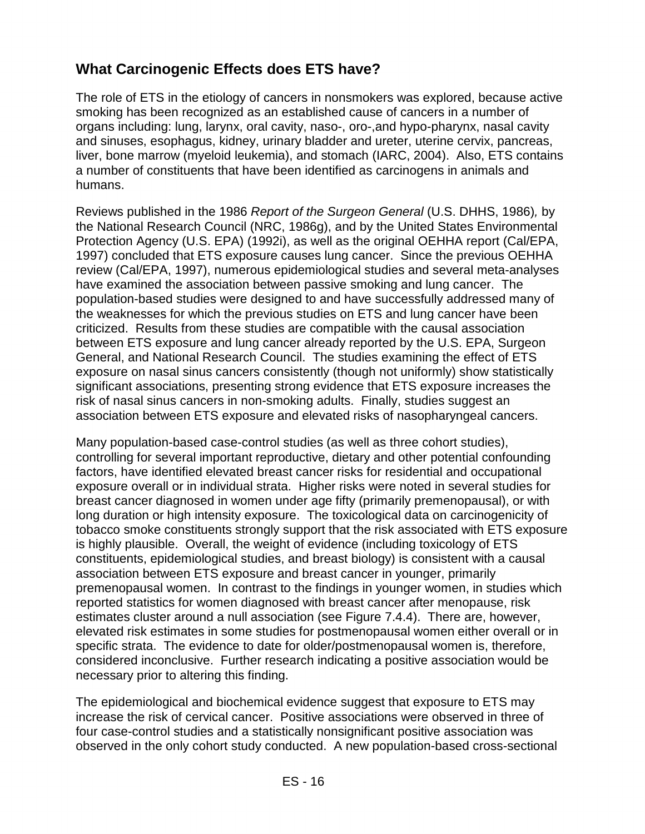# **What Carcinogenic Effects does ETS have?**

The role of ETS in the etiology of cancers in nonsmokers was explored, because active smoking has been recognized as an established cause of cancers in a number of organs including: lung, larynx, oral cavity, naso-, oro-,and hypo-pharynx, nasal cavity and sinuses, esophagus, kidney, urinary bladder and ureter, uterine cervix, pancreas, liver, bone marrow (myeloid leukemia), and stomach (IARC, 2004). Also, ETS contains a number of constituents that have been identified as carcinogens in animals and humans.

Reviews published in the 1986 Report of the Surgeon General (U.S. DHHS, 1986), by the National Research Council (NRC, 1986g), and by the United States Environmental Protection Agency (U.S. EPA) (1992i), as well as the original OEHHA report (Cal/EPA, 1997) concluded that ETS exposure causes lung cancer. Since the previous OEHHA review (Cal/EPA, 1997), numerous epidemiological studies and several meta-analyses have examined the association between passive smoking and lung cancer. The population-based studies were designed to and have successfully addressed many of the weaknesses for which the previous studies on ETS and lung cancer have been criticized. Results from these studies are compatible with the causal association between ETS exposure and lung cancer already reported by the U.S. EPA, Surgeon General, and National Research Council. The studies examining the effect of ETS exposure on nasal sinus cancers consistently (though not uniformly) show statistically significant associations, presenting strong evidence that ETS exposure increases the risk of nasal sinus cancers in non-smoking adults. Finally, studies suggest an association between ETS exposure and elevated risks of nasopharyngeal cancers.

Many population-based case-control studies (as well as three cohort studies), controlling for several important reproductive, dietary and other potential confounding factors, have identified elevated breast cancer risks for residential and occupational exposure overall or in individual strata. Higher risks were noted in several studies for breast cancer diagnosed in women under age fifty (primarily premenopausal), or with long duration or high intensity exposure. The toxicological data on carcinogenicity of tobacco smoke constituents strongly support that the risk associated with ETS exposure is highly plausible. Overall, the weight of evidence (including toxicology of ETS constituents, epidemiological studies, and breast biology) is consistent with a causal association between ETS exposure and breast cancer in younger, primarily premenopausal women. In contrast to the findings in younger women, in studies which reported statistics for women diagnosed with breast cancer after menopause, risk estimates cluster around a null association (see Figure 7.4.4). There are, however, elevated risk estimates in some studies for postmenopausal women either overall or in specific strata. The evidence to date for older/postmenopausal women is, therefore, considered inconclusive. Further research indicating a positive association would be necessary prior to altering this finding.

The epidemiological and biochemical evidence suggest that exposure to ETS may increase the risk of cervical cancer. Positive associations were observed in three of four case-control studies and a statistically nonsignificant positive association was observed in the only cohort study conducted. A new population-based cross-sectional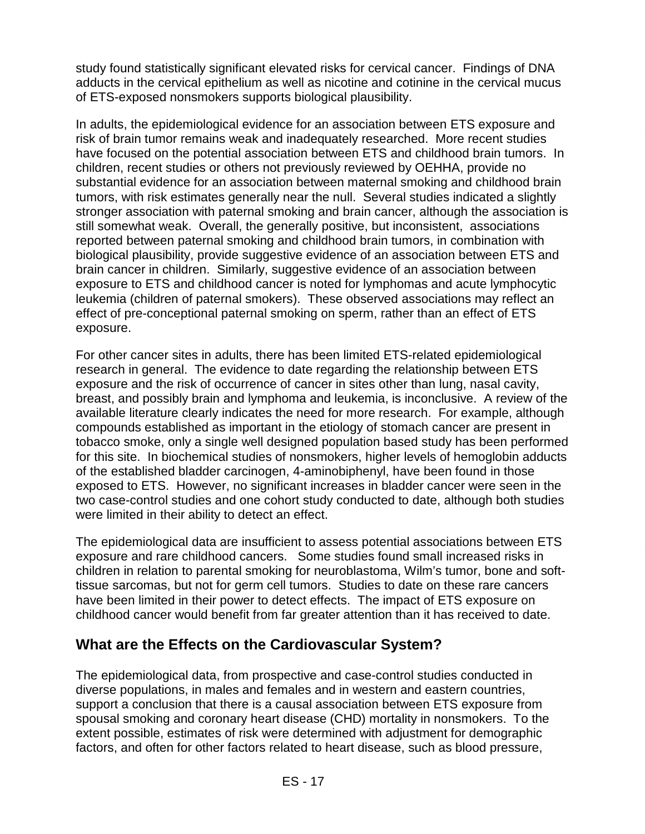study found statistically significant elevated risks for cervical cancer. Findings of DNA adducts in the cervical epithelium as well as nicotine and cotinine in the cervical mucus of ETS-exposed nonsmokers supports biological plausibility.

In adults, the epidemiological evidence for an association between ETS exposure and risk of brain tumor remains weak and inadequately researched. More recent studies have focused on the potential association between ETS and childhood brain tumors. In children, recent studies or others not previously reviewed by OEHHA, provide no substantial evidence for an association between maternal smoking and childhood brain tumors, with risk estimates generally near the null. Several studies indicated a slightly stronger association with paternal smoking and brain cancer, although the association is still somewhat weak. Overall, the generally positive, but inconsistent, associations reported between paternal smoking and childhood brain tumors, in combination with biological plausibility, provide suggestive evidence of an association between ETS and brain cancer in children. Similarly, suggestive evidence of an association between exposure to ETS and childhood cancer is noted for lymphomas and acute lymphocytic leukemia (children of paternal smokers). These observed associations may reflect an effect of pre-conceptional paternal smoking on sperm, rather than an effect of ETS exposure.

For other cancer sites in adults, there has been limited ETS-related epidemiological research in general. The evidence to date regarding the relationship between ETS exposure and the risk of occurrence of cancer in sites other than lung, nasal cavity, breast, and possibly brain and lymphoma and leukemia, is inconclusive. A review of the available literature clearly indicates the need for more research. For example, although compounds established as important in the etiology of stomach cancer are present in tobacco smoke, only a single well designed population based study has been performed for this site. In biochemical studies of nonsmokers, higher levels of hemoglobin adducts of the established bladder carcinogen, 4-aminobiphenyl, have been found in those exposed to ETS. However, no significant increases in bladder cancer were seen in the two case-control studies and one cohort study conducted to date, although both studies were limited in their ability to detect an effect.

The epidemiological data are insufficient to assess potential associations between ETS exposure and rare childhood cancers. Some studies found small increased risks in children in relation to parental smoking for neuroblastoma, Wilm's tumor, bone and softtissue sarcomas, but not for germ cell tumors. Studies to date on these rare cancers have been limited in their power to detect effects. The impact of ETS exposure on childhood cancer would benefit from far greater attention than it has received to date.

#### **What are the Effects on the Cardiovascular System?**

The epidemiological data, from prospective and case-control studies conducted in diverse populations, in males and females and in western and eastern countries, support a conclusion that there is a causal association between ETS exposure from spousal smoking and coronary heart disease (CHD) mortality in nonsmokers. To the extent possible, estimates of risk were determined with adjustment for demographic factors, and often for other factors related to heart disease, such as blood pressure,